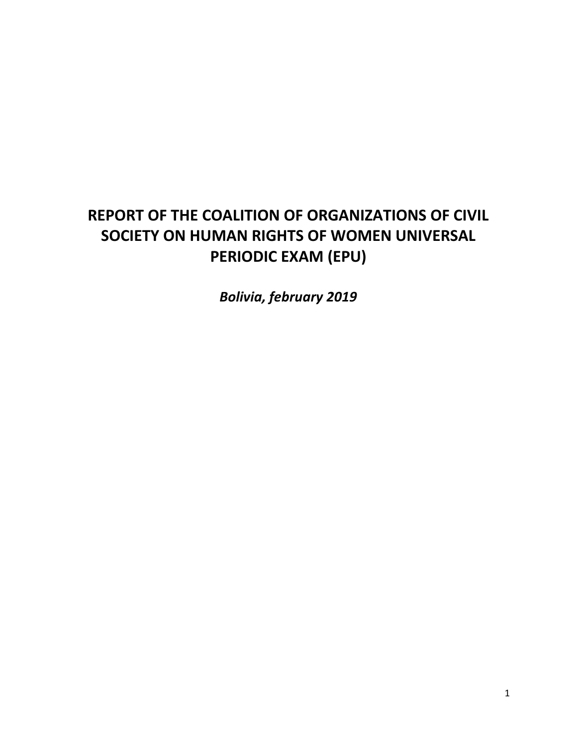## **REPORT OF THE COALITION OF ORGANIZATIONS OF CIVIL SOCIETY ON HUMAN RIGHTS OF WOMEN UNIVERSAL PERIODIC EXAM (EPU)**

*Bolivia, february 2019*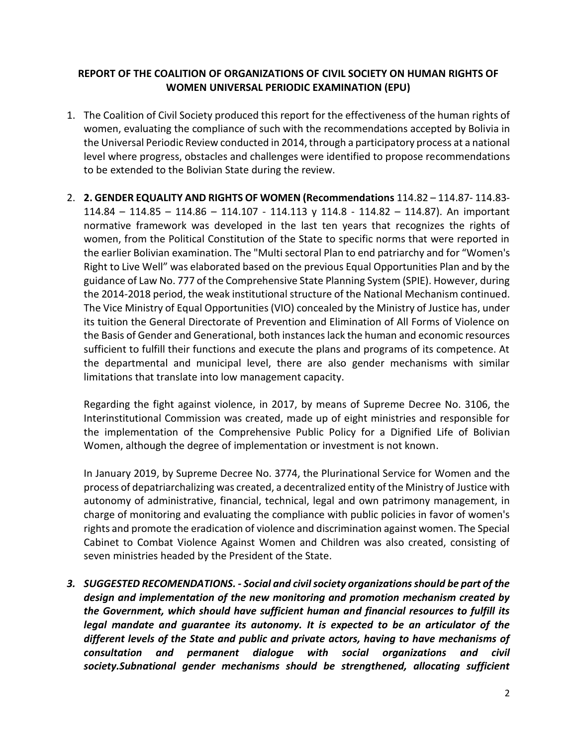## **REPORT OF THE COALITION OF ORGANIZATIONS OF CIVIL SOCIETY ON HUMAN RIGHTS OF WOMEN UNIVERSAL PERIODIC EXAMINATION (EPU)**

- 1. The Coalition of Civil Society produced this report for the effectiveness of the human rights of women, evaluating the compliance of such with the recommendations accepted by Bolivia in the Universal Periodic Review conducted in 2014, through a participatory process at a national level where progress, obstacles and challenges were identified to propose recommendations to be extended to the Bolivian State during the review.
- 2. **2. GENDER EQUALITY AND RIGHTS OF WOMEN (Recommendations** 114.82 114.87- 114.83- 114.84 – 114.85 – 114.86 – 114.107 - 114.113 y 114.8 - 114.82 – 114.87). An important normative framework was developed in the last ten years that recognizes the rights of women, from the Political Constitution of the State to specific norms that were reported in the earlier Bolivian examination. The "Multi sectoral Plan to end patriarchy and for "Women's Right to Live Well" was elaborated based on the previous Equal Opportunities Plan and by the guidance of Law No. 777 of the Comprehensive State Planning System (SPIE). However, during the 2014-2018 period, the weak institutional structure of the National Mechanism continued. The Vice Ministry of Equal Opportunities (VIO) concealed by the Ministry of Justice has, under its tuition the General Directorate of Prevention and Elimination of All Forms of Violence on the Basis of Gender and Generational, both instances lack the human and economic resources sufficient to fulfill their functions and execute the plans and programs of its competence. At the departmental and municipal level, there are also gender mechanisms with similar limitations that translate into low management capacity.

Regarding the fight against violence, in 2017, by means of Supreme Decree No. 3106, the Interinstitutional Commission was created, made up of eight ministries and responsible for the implementation of the Comprehensive Public Policy for a Dignified Life of Bolivian Women, although the degree of implementation or investment is not known.

In January 2019, by Supreme Decree No. 3774, the Plurinational Service for Women and the process of depatriarchalizing was created, a decentralized entity of the Ministry of Justice with autonomy of administrative, financial, technical, legal and own patrimony management, in charge of monitoring and evaluating the compliance with public policies in favor of women's rights and promote the eradication of violence and discrimination against women. The Special Cabinet to Combat Violence Against Women and Children was also created, consisting of seven ministries headed by the President of the State.

*3. SUGGESTED RECOMENDATIONS. - Social and civil society organizations should be part of the design and implementation of the new monitoring and promotion mechanism created by the Government, which should have sufficient human and financial resources to fulfill its legal mandate and guarantee its autonomy. It is expected to be an articulator of the different levels of the State and public and private actors, having to have mechanisms of consultation and permanent dialogue with social organizations and civil society.Subnational gender mechanisms should be strengthened, allocating sufficient*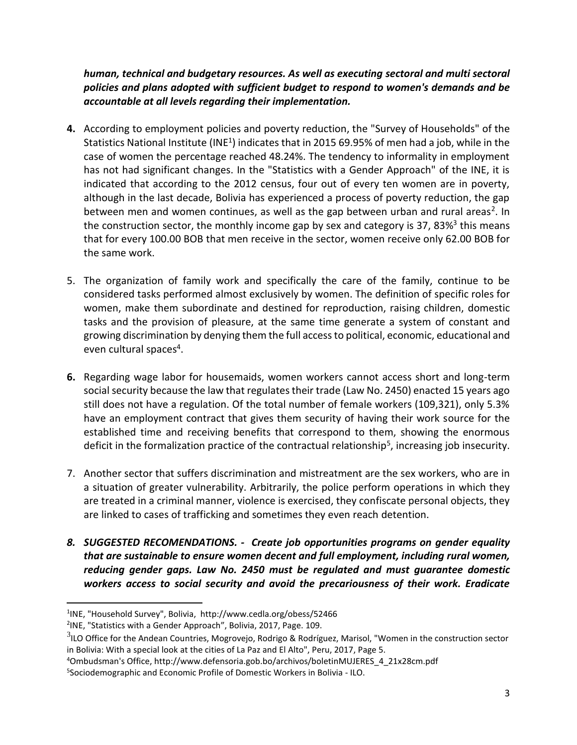*human, technical and budgetary resources. As well as executing sectoral and multi sectoral policies and plans adopted with sufficient budget to respond to women's demands and be accountable at all levels regarding their implementation.*

- **4.** According to employment policies and poverty reduction, the "Survey of Households" of the Statistics National Institute (INE<sup>1</sup>) indicates that in 2015 69.95% of men had a job, while in the case of women the percentage reached 48.24%. The tendency to informality in employment has not had significant changes. In the "Statistics with a Gender Approach" of the INE, it is indicated that according to the 2012 census, four out of every ten women are in poverty, although in the last decade, Bolivia has experienced a process of poverty reduction, the gap between men and women continues, as well as the gap between urban and rural areas<sup>2</sup>. In the construction sector, the monthly income gap by sex and category is 37, 83%<sup>3</sup> this means that for every 100.00 BOB that men receive in the sector, women receive only 62.00 BOB for the same work.
- 5. The organization of family work and specifically the care of the family, continue to be considered tasks performed almost exclusively by women. The definition of specific roles for women, make them subordinate and destined for reproduction, raising children, domestic tasks and the provision of pleasure, at the same time generate a system of constant and growing discrimination by denying them the full accessto political, economic, educational and even cultural spaces<sup>4</sup>.
- **6.** Regarding wage labor for housemaids, women workers cannot access short and long-term social security because the law that regulates their trade (Law No. 2450) enacted 15 years ago still does not have a regulation. Of the total number of female workers (109,321), only 5.3% have an employment contract that gives them security of having their work source for the established time and receiving benefits that correspond to them, showing the enormous deficit in the formalization practice of the contractual relationship<sup>5</sup>, increasing job insecurity.
- 7. Another sector that suffers discrimination and mistreatment are the sex workers, who are in a situation of greater vulnerability. Arbitrarily, the police perform operations in which they are treated in a criminal manner, violence is exercised, they confiscate personal objects, they are linked to cases of trafficking and sometimes they even reach detention.
- *8. SUGGESTED RECOMENDATIONS. - Create job opportunities programs on gender equality that are sustainable to ensure women decent and full employment, including rural women, reducing gender gaps. Law No. 2450 must be regulated and must guarantee domestic workers access to social security and avoid the precariousness of their work. Eradicate*

<sup>1</sup> 1 INE, "Household Survey", Bolivia, http://www.cedla.org/obess/52466

<sup>2</sup> INE, "Statistics with a Gender Approach", Bolivia, 2017, Page. 109.

 $3$ ILO Office for the Andean Countries, Mogrovejo, Rodrigo & Rodríguez, Marisol, "Women in the construction sector in Bolivia: With a special look at the cities of La Paz and El Alto", Peru, 2017, Page 5.

<sup>4</sup>Ombudsman's Office, http://www.defensoria.gob.bo/archivos/boletinMUJERES\_4\_21x28cm.pdf

<sup>5</sup> Sociodemographic and Economic Profile of Domestic Workers in Bolivia - ILO.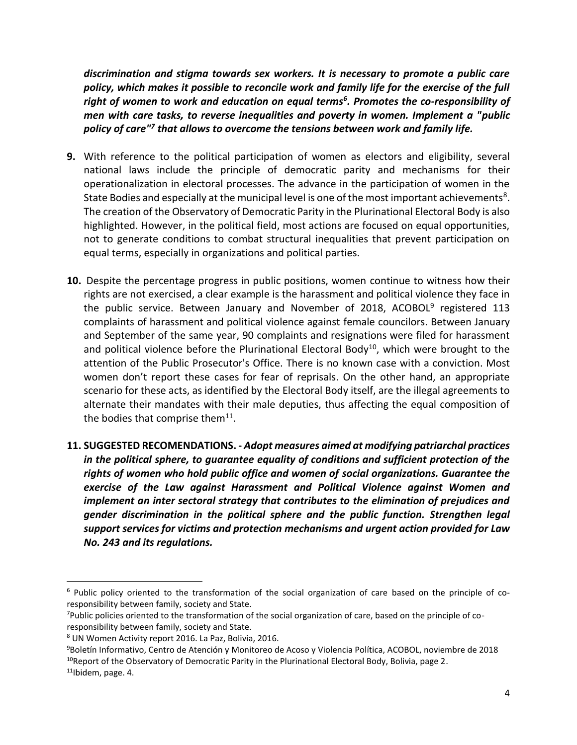*discrimination and stigma towards sex workers. It is necessary to promote a public care policy, which makes it possible to reconcile work and family life for the exercise of the full right of women to work and education on equal terms<sup>6</sup> . Promotes the co-responsibility of men with care tasks, to reverse inequalities and poverty in women. Implement a "public policy of care"<sup>7</sup> that allows to overcome the tensions between work and family life.*

- **9.** With reference to the political participation of women as electors and eligibility, several national laws include the principle of democratic parity and mechanisms for their operationalization in electoral processes. The advance in the participation of women in the State Bodies and especially at the municipal level is one of the most important achievements<sup>8</sup>. The creation of the Observatory of Democratic Parity in the Plurinational Electoral Body is also highlighted. However, in the political field, most actions are focused on equal opportunities, not to generate conditions to combat structural inequalities that prevent participation on equal terms, especially in organizations and political parties.
- **10.** Despite the percentage progress in public positions, women continue to witness how their rights are not exercised, a clear example is the harassment and political violence they face in the public service. Between January and November of 2018, ACOBOL<sup>9</sup> registered 113 complaints of harassment and political violence against female councilors. Between January and September of the same year, 90 complaints and resignations were filed for harassment and political violence before the Plurinational Electoral Body<sup>10</sup>, which were brought to the attention of the Public Prosecutor's Office. There is no known case with a conviction. Most women don't report these cases for fear of reprisals. On the other hand, an appropriate scenario for these acts, as identified by the Electoral Body itself, are the illegal agreements to alternate their mandates with their male deputies, thus affecting the equal composition of the bodies that comprise them $^{11}$ .
- **11. SUGGESTED RECOMENDATIONS. -** *Adopt measures aimed at modifying patriarchal practices in the political sphere, to guarantee equality of conditions and sufficient protection of the rights of women who hold public office and women of social organizations. Guarantee the exercise of the Law against Harassment and Political Violence against Women and implement an inter sectoral strategy that contributes to the elimination of prejudices and gender discrimination in the political sphere and the public function. Strengthen legal support services for victims and protection mechanisms and urgent action provided for Law No. 243 and its regulations.*

1

<sup>6</sup> Public policy oriented to the transformation of the social organization of care based on the principle of coresponsibility between family, society and State.

<sup>7</sup>Public policies oriented to the transformation of the social organization of care, based on the principle of coresponsibility between family, society and State.

<sup>8</sup> UN Women Activity report 2016. La Paz, Bolivia, 2016.

<sup>9</sup>Boletín Informativo, Centro de Atención y Monitoreo de Acoso y Violencia Política, ACOBOL, noviembre de 2018

<sup>&</sup>lt;sup>10</sup>Report of the Observatory of Democratic Parity in the Plurinational Electoral Body, Bolivia, page 2.

<sup>11</sup>Ibidem, page. 4.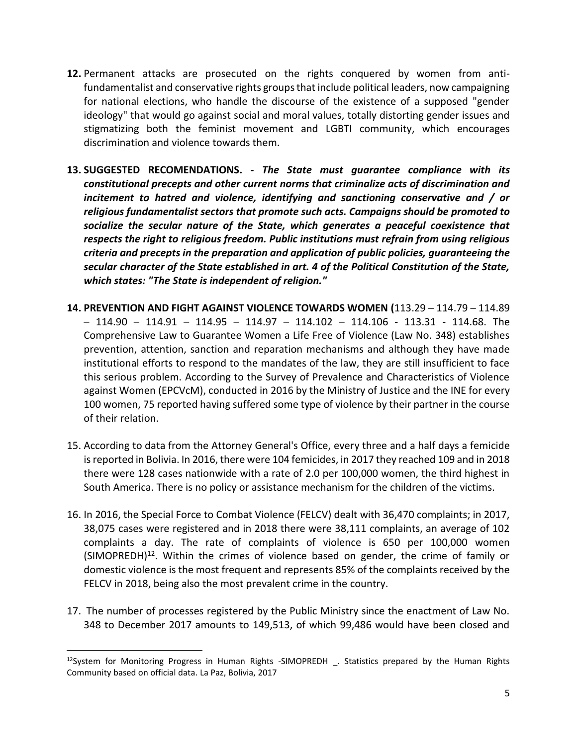- **12.** Permanent attacks are prosecuted on the rights conquered by women from antifundamentalist and conservative rights groups that include political leaders, now campaigning for national elections, who handle the discourse of the existence of a supposed "gender ideology" that would go against social and moral values, totally distorting gender issues and stigmatizing both the feminist movement and LGBTI community, which encourages discrimination and violence towards them.
- **13. SUGGESTED RECOMENDATIONS. -** *The State must guarantee compliance with its constitutional precepts and other current norms that criminalize acts of discrimination and incitement to hatred and violence, identifying and sanctioning conservative and / or religious fundamentalist sectors that promote such acts. Campaigns should be promoted to socialize the secular nature of the State, which generates a peaceful coexistence that respects the right to religious freedom. Public institutions must refrain from using religious criteria and precepts in the preparation and application of public policies, guaranteeing the secular character of the State established in art. 4 of the Political Constitution of the State, which states: "The State is independent of religion."*
- **14. PREVENTION AND FIGHT AGAINST VIOLENCE TOWARDS WOMEN (**113.29 114.79 114.89 – 114.90 – 114.91 – 114.95 – 114.97 – 114.102 – 114.106 - 113.31 - 114.68. The Comprehensive Law to Guarantee Women a Life Free of Violence (Law No. 348) establishes prevention, attention, sanction and reparation mechanisms and although they have made institutional efforts to respond to the mandates of the law, they are still insufficient to face this serious problem. According to the Survey of Prevalence and Characteristics of Violence against Women (EPCVcM), conducted in 2016 by the Ministry of Justice and the INE for every 100 women, 75 reported having suffered some type of violence by their partner in the course of their relation.
- 15. According to data from the Attorney General's Office, every three and a half days a femicide is reported in Bolivia. In 2016, there were 104 femicides, in 2017 they reached 109 and in 2018 there were 128 cases nationwide with a rate of 2.0 per 100,000 women, the third highest in South America. There is no policy or assistance mechanism for the children of the victims.
- 16. In 2016, the Special Force to Combat Violence (FELCV) dealt with 36,470 complaints; in 2017, 38,075 cases were registered and in 2018 there were 38,111 complaints, an average of 102 complaints a day. The rate of complaints of violence is 650 per 100,000 women (SIMOPREDH)<sup>12</sup>. Within the crimes of violence based on gender, the crime of family or domestic violence is the most frequent and represents 85% of the complaints received by the FELCV in 2018, being also the most prevalent crime in the country.
- 17. The number of processes registered by the Public Ministry since the enactment of Law No. 348 to December 2017 amounts to 149,513, of which 99,486 would have been closed and

<sup>&</sup>lt;sup>12</sup>System for Monitoring Progress in Human Rights -SIMOPREDH \_ Statistics prepared by the Human Rights Community based on official data. La Paz, Bolivia, 2017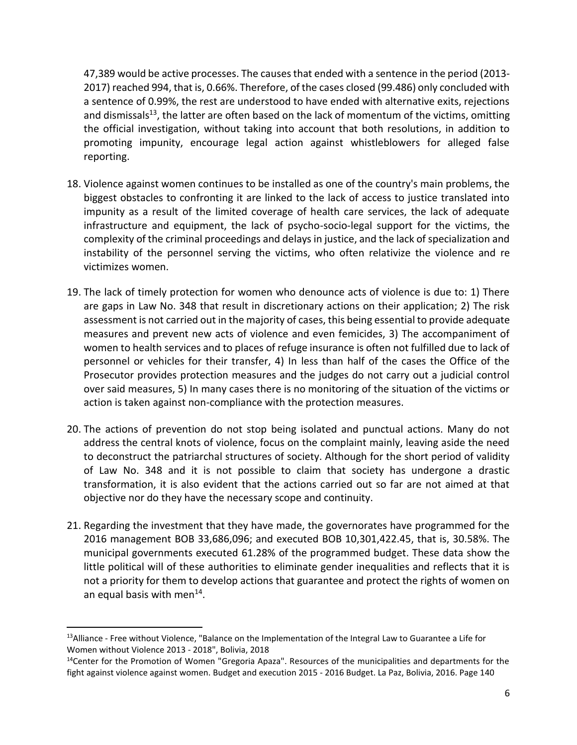47,389 would be active processes. The causes that ended with a sentence in the period (2013- 2017) reached 994, that is, 0.66%. Therefore, of the cases closed (99.486) only concluded with a sentence of 0.99%, the rest are understood to have ended with alternative exits, rejections and dismissals<sup>13</sup>, the latter are often based on the lack of momentum of the victims, omitting the official investigation, without taking into account that both resolutions, in addition to promoting impunity, encourage legal action against whistleblowers for alleged false reporting.

- 18. Violence against women continues to be installed as one of the country's main problems, the biggest obstacles to confronting it are linked to the lack of access to justice translated into impunity as a result of the limited coverage of health care services, the lack of adequate infrastructure and equipment, the lack of psycho-socio-legal support for the victims, the complexity of the criminal proceedings and delays in justice, and the lack of specialization and instability of the personnel serving the victims, who often relativize the violence and re victimizes women.
- 19. The lack of timely protection for women who denounce acts of violence is due to: 1) There are gaps in Law No. 348 that result in discretionary actions on their application; 2) The risk assessment is not carried out in the majority of cases, this being essential to provide adequate measures and prevent new acts of violence and even femicides, 3) The accompaniment of women to health services and to places of refuge insurance is often not fulfilled due to lack of personnel or vehicles for their transfer, 4) In less than half of the cases the Office of the Prosecutor provides protection measures and the judges do not carry out a judicial control over said measures, 5) In many cases there is no monitoring of the situation of the victims or action is taken against non-compliance with the protection measures.
- 20. The actions of prevention do not stop being isolated and punctual actions. Many do not address the central knots of violence, focus on the complaint mainly, leaving aside the need to deconstruct the patriarchal structures of society. Although for the short period of validity of Law No. 348 and it is not possible to claim that society has undergone a drastic transformation, it is also evident that the actions carried out so far are not aimed at that objective nor do they have the necessary scope and continuity.
- 21. Regarding the investment that they have made, the governorates have programmed for the 2016 management BOB 33,686,096; and executed BOB 10,301,422.45, that is, 30.58%. The municipal governments executed 61.28% of the programmed budget. These data show the little political will of these authorities to eliminate gender inequalities and reflects that it is not a priority for them to develop actions that guarantee and protect the rights of women on an equal basis with men $^{14}$ .

<sup>13</sup>Alliance - Free without Violence, "Balance on the Implementation of the Integral Law to Guarantee a Life for Women without Violence 2013 - 2018", Bolivia, 2018

<sup>&</sup>lt;sup>14</sup>Center for the Promotion of Women "Gregoria Apaza". Resources of the municipalities and departments for the fight against violence against women. Budget and execution 2015 - 2016 Budget. La Paz, Bolivia, 2016. Page 140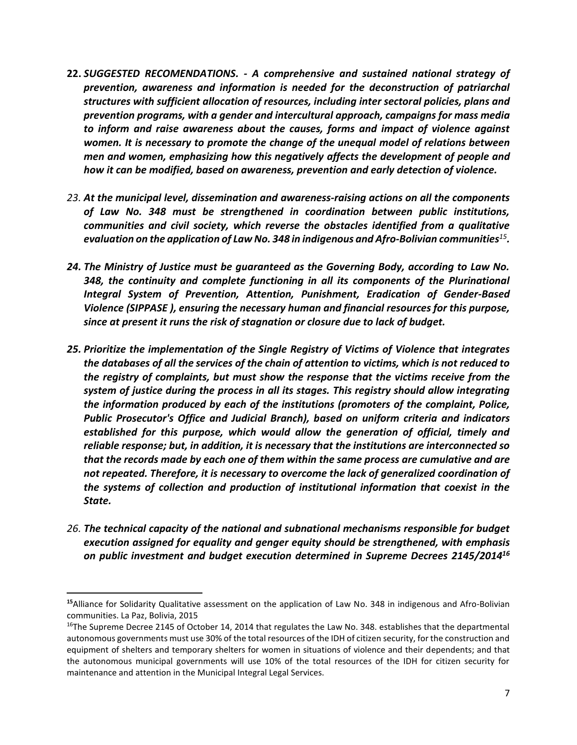- **22.** *SUGGESTED RECOMENDATIONS. - A comprehensive and sustained national strategy of prevention, awareness and information is needed for the deconstruction of patriarchal structures with sufficient allocation of resources, including inter sectoral policies, plans and prevention programs, with a gender and intercultural approach, campaigns for mass media to inform and raise awareness about the causes, forms and impact of violence against women. It is necessary to promote the change of the unequal model of relations between men and women, emphasizing how this negatively affects the development of people and how it can be modified, based on awareness, prevention and early detection of violence.*
- *23. At the municipal level, dissemination and awareness-raising actions on all the components of Law No. 348 must be strengthened in coordination between public institutions, communities and civil society, which reverse the obstacles identified from a qualitative evaluation on the application of Law No. 348 in indigenous and Afro-Bolivian communities<sup>15</sup> .*
- *24. The Ministry of Justice must be guaranteed as the Governing Body, according to Law No. 348, the continuity and complete functioning in all its components of the Plurinational Integral System of Prevention, Attention, Punishment, Eradication of Gender-Based Violence (SIPPASE ), ensuring the necessary human and financial resources for this purpose, since at present it runs the risk of stagnation or closure due to lack of budget.*
- *25. Prioritize the implementation of the Single Registry of Victims of Violence that integrates the databases of all the services of the chain of attention to victims, which is not reduced to the registry of complaints, but must show the response that the victims receive from the system of justice during the process in all its stages. This registry should allow integrating the information produced by each of the institutions (promoters of the complaint, Police, Public Prosecutor's Office and Judicial Branch), based on uniform criteria and indicators established for this purpose, which would allow the generation of official, timely and reliable response; but, in addition, it is necessary that the institutions are interconnected so that the records made by each one of them within the same process are cumulative and are not repeated. Therefore, it is necessary to overcome the lack of generalized coordination of the systems of collection and production of institutional information that coexist in the State.*
- *26. The technical capacity of the national and subnational mechanisms responsible for budget execution assigned for equality and genger equity should be strengthened, with emphasis on public investment and budget execution determined in Supreme Decrees 2145/2014<sup>16</sup>*

**<sup>15</sup>**Alliance for Solidarity Qualitative assessment on the application of Law No. 348 in indigenous and Afro-Bolivian communities. La Paz, Bolivia, 2015

 $16$ The Supreme Decree 2145 of October 14, 2014 that regulates the Law No. 348. establishes that the departmental autonomous governments must use 30% of the total resources of the IDH of citizen security, for the construction and equipment of shelters and temporary shelters for women in situations of violence and their dependents; and that the autonomous municipal governments will use 10% of the total resources of the IDH for citizen security for maintenance and attention in the Municipal Integral Legal Services.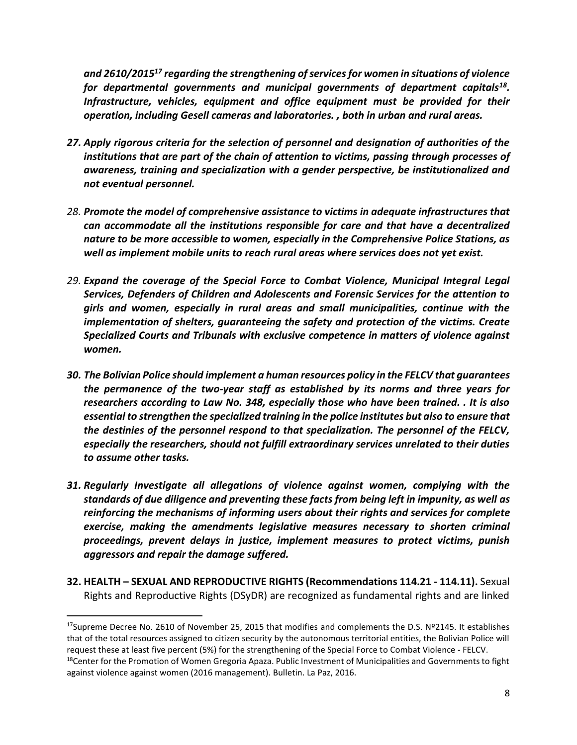*and 2610/2015<sup>17</sup> regarding the strengthening of services for women in situations of violence for departmental governments and municipal governments of department capitals<sup>18</sup> . Infrastructure, vehicles, equipment and office equipment must be provided for their operation, including Gesell cameras and laboratories. , both in urban and rural areas.*

- *27. Apply rigorous criteria for the selection of personnel and designation of authorities of the institutions that are part of the chain of attention to victims, passing through processes of awareness, training and specialization with a gender perspective, be institutionalized and not eventual personnel.*
- *28. Promote the model of comprehensive assistance to victims in adequate infrastructures that can accommodate all the institutions responsible for care and that have a decentralized nature to be more accessible to women, especially in the Comprehensive Police Stations, as well as implement mobile units to reach rural areas where services does not yet exist.*
- *29. Expand the coverage of the Special Force to Combat Violence, Municipal Integral Legal Services, Defenders of Children and Adolescents and Forensic Services for the attention to girls and women, especially in rural areas and small municipalities, continue with the implementation of shelters, guaranteeing the safety and protection of the victims. Create Specialized Courts and Tribunals with exclusive competence in matters of violence against women.*
- *30. The Bolivian Police should implement a human resources policy in the FELCV that guarantees the permanence of the two-year staff as established by its norms and three years for researchers according to Law No. 348, especially those who have been trained. . It is also essential to strengthen the specialized training in the police institutes but also to ensure that the destinies of the personnel respond to that specialization. The personnel of the FELCV, especially the researchers, should not fulfill extraordinary services unrelated to their duties to assume other tasks.*
- *31. Regularly Investigate all allegations of violence against women, complying with the standards of due diligence and preventing these facts from being left in impunity, as well as reinforcing the mechanisms of informing users about their rights and services for complete exercise, making the amendments legislative measures necessary to shorten criminal proceedings, prevent delays in justice, implement measures to protect victims, punish aggressors and repair the damage suffered.*
- **32. HEALTH – SEXUAL AND REPRODUCTIVE RIGHTS (Recommendations 114.21 - 114.11).** Sexual Rights and Reproductive Rights (DSyDR) are recognized as fundamental rights and are linked

<sup>&</sup>lt;sup>17</sup>Supreme Decree No. 2610 of November 25, 2015 that modifies and complements the D.S. Nº2145. It establishes that of the total resources assigned to citizen security by the autonomous territorial entities, the Bolivian Police will request these at least five percent (5%) for the strengthening of the Special Force to Combat Violence - FELCV.

<sup>&</sup>lt;sup>18</sup>Center for the Promotion of Women Gregoria Apaza. Public Investment of Municipalities and Governments to fight against violence against women (2016 management). Bulletin. La Paz, 2016.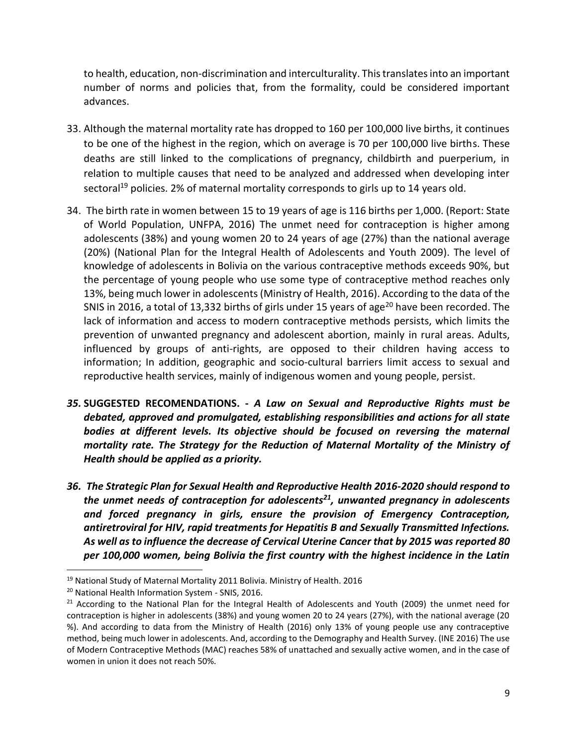to health, education, non-discrimination and interculturality. This translates into an important number of norms and policies that, from the formality, could be considered important advances.

- 33. Although the maternal mortality rate has dropped to 160 per 100,000 live births, it continues to be one of the highest in the region, which on average is 70 per 100,000 live births. These deaths are still linked to the complications of pregnancy, childbirth and puerperium, in relation to multiple causes that need to be analyzed and addressed when developing inter sectoral<sup>19</sup> policies. 2% of maternal mortality corresponds to girls up to 14 years old.
- 34. The birth rate in women between 15 to 19 years of age is 116 births per 1,000. (Report: State of World Population, UNFPA, 2016) The unmet need for contraception is higher among adolescents (38%) and young women 20 to 24 years of age (27%) than the national average (20%) (National Plan for the Integral Health of Adolescents and Youth 2009). The level of knowledge of adolescents in Bolivia on the various contraceptive methods exceeds 90%, but the percentage of young people who use some type of contraceptive method reaches only 13%, being much lower in adolescents (Ministry of Health, 2016). According to the data of the SNIS in 2016, a total of 13,332 births of girls under 15 years of age<sup>20</sup> have been recorded. The lack of information and access to modern contraceptive methods persists, which limits the prevention of unwanted pregnancy and adolescent abortion, mainly in rural areas. Adults, influenced by groups of anti-rights, are opposed to their children having access to information; In addition, geographic and socio-cultural barriers limit access to sexual and reproductive health services, mainly of indigenous women and young people, persist.
- *35.* **SUGGESTED RECOMENDATIONS. -** *A Law on Sexual and Reproductive Rights must be debated, approved and promulgated, establishing responsibilities and actions for all state*  bodies at different levels. Its objective should be focused on reversing the maternal *mortality rate. The Strategy for the Reduction of Maternal Mortality of the Ministry of Health should be applied as a priority.*
- *36. The Strategic Plan for Sexual Health and Reproductive Health 2016-2020 should respond to the unmet needs of contraception for adolescents<sup>21</sup>, unwanted pregnancy in adolescents and forced pregnancy in girls, ensure the provision of Emergency Contraception, antiretroviral for HIV, rapid treatments for Hepatitis B and Sexually Transmitted Infections. As well as to influence the decrease of Cervical Uterine Cancer that by 2015 was reported 80 per 100,000 women, being Bolivia the first country with the highest incidence in the Latin*

<sup>19</sup> National Study of Maternal Mortality 2011 Bolivia. Ministry of Health. 2016

<sup>20</sup> National Health Information System - SNIS, 2016.

<sup>&</sup>lt;sup>21</sup> According to the National Plan for the Integral Health of Adolescents and Youth (2009) the unmet need for contraception is higher in adolescents (38%) and young women 20 to 24 years (27%), with the national average (20 %). And according to data from the Ministry of Health (2016) only 13% of young people use any contraceptive method, being much lower in adolescents. And, according to the Demography and Health Survey. (INE 2016) The use of Modern Contraceptive Methods (MAC) reaches 58% of unattached and sexually active women, and in the case of women in union it does not reach 50%.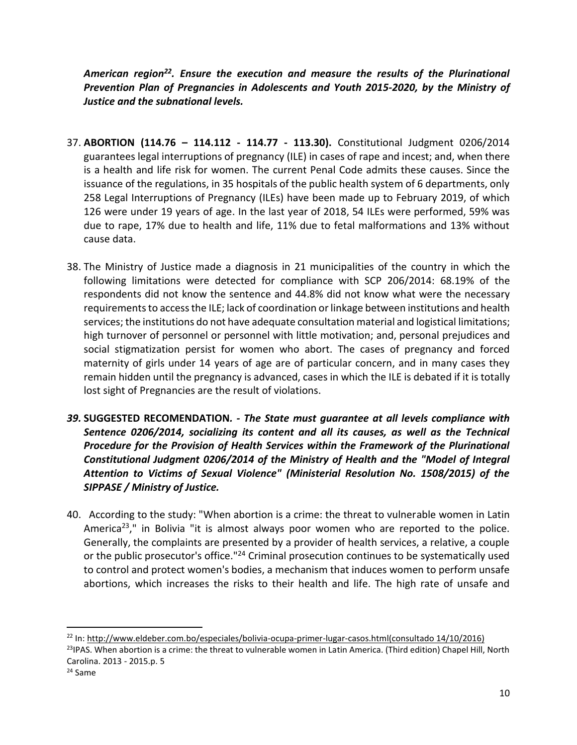*American region<sup>22</sup>. Ensure the execution and measure the results of the Plurinational Prevention Plan of Pregnancies in Adolescents and Youth 2015-2020, by the Ministry of Justice and the subnational levels.*

- 37. **ABORTION (114.76 – 114.112 - 114.77 - 113.30).** Constitutional Judgment 0206/2014 guarantees legal interruptions of pregnancy (ILE) in cases of rape and incest; and, when there is a health and life risk for women. The current Penal Code admits these causes. Since the issuance of the regulations, in 35 hospitals of the public health system of 6 departments, only 258 Legal Interruptions of Pregnancy (ILEs) have been made up to February 2019, of which 126 were under 19 years of age. In the last year of 2018, 54 ILEs were performed, 59% was due to rape, 17% due to health and life, 11% due to fetal malformations and 13% without cause data.
- 38. The Ministry of Justice made a diagnosis in 21 municipalities of the country in which the following limitations were detected for compliance with SCP 206/2014: 68.19% of the respondents did not know the sentence and 44.8% did not know what were the necessary requirements to access the ILE; lack of coordination or linkage between institutions and health services; the institutions do not have adequate consultation material and logistical limitations; high turnover of personnel or personnel with little motivation; and, personal prejudices and social stigmatization persist for women who abort. The cases of pregnancy and forced maternity of girls under 14 years of age are of particular concern, and in many cases they remain hidden until the pregnancy is advanced, cases in which the ILE is debated if it is totally lost sight of Pregnancies are the result of violations.
- *39.* **SUGGESTED RECOMENDATION***. - The State must guarantee at all levels compliance with Sentence 0206/2014, socializing its content and all its causes, as well as the Technical Procedure for the Provision of Health Services within the Framework of the Plurinational Constitutional Judgment 0206/2014 of the Ministry of Health and the "Model of Integral Attention to Victims of Sexual Violence" (Ministerial Resolution No. 1508/2015) of the SIPPASE / Ministry of Justice.*
- 40. According to the study: "When abortion is a crime: the threat to vulnerable women in Latin America<sup>23</sup>," in Bolivia "it is almost always poor women who are reported to the police. Generally, the complaints are presented by a provider of health services, a relative, a couple or the public prosecutor's office."<sup>24</sup> Criminal prosecution continues to be systematically used to control and protect women's bodies, a mechanism that induces women to perform unsafe abortions, which increases the risks to their health and life. The high rate of unsafe and

<sup>22</sup> In[: http://www.eldeber.com.bo/especiales/bolivia-ocupa-primer-lugar-casos.html\(](http://www.eldeber.com.bo/especiales/bolivia-ocupa-primer-lugar-casos.html)consultado 14/10/2016) <sup>23</sup>IPAS. When abortion is a crime: the threat to vulnerable women in Latin America. (Third edition) Chapel Hill, North Carolina. 2013 - 2015.p. 5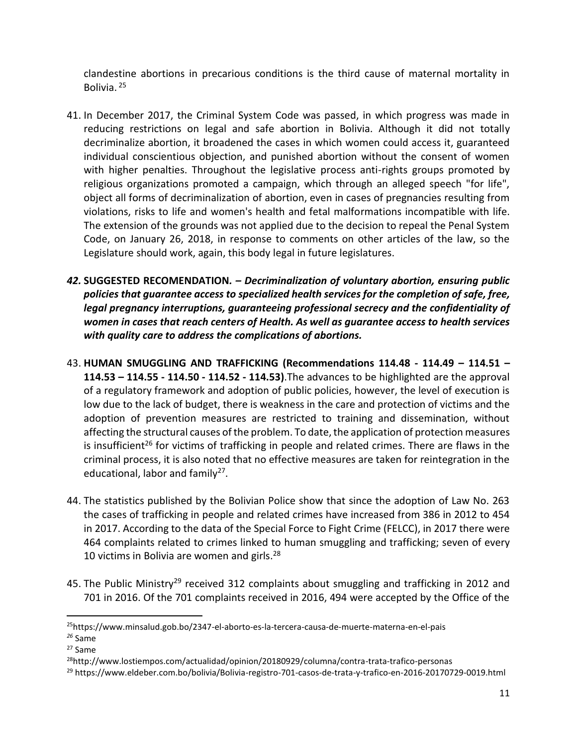clandestine abortions in precarious conditions is the third cause of maternal mortality in Bolivia. <sup>25</sup>

- 41. In December 2017, the Criminal System Code was passed, in which progress was made in reducing restrictions on legal and safe abortion in Bolivia. Although it did not totally decriminalize abortion, it broadened the cases in which women could access it, guaranteed individual conscientious objection, and punished abortion without the consent of women with higher penalties. Throughout the legislative process anti-rights groups promoted by religious organizations promoted a campaign, which through an alleged speech "for life", object all forms of decriminalization of abortion, even in cases of pregnancies resulting from violations, risks to life and women's health and fetal malformations incompatible with life. The extension of the grounds was not applied due to the decision to repeal the Penal System Code, on January 26, 2018, in response to comments on other articles of the law, so the Legislature should work, again, this body legal in future legislatures.
- *42.* **SUGGESTED RECOMENDATION***. – Decriminalization of voluntary abortion, ensuring public policies that guarantee access to specialized health services for the completion of safe, free, legal pregnancy interruptions, guaranteeing professional secrecy and the confidentiality of women in cases that reach centers of Health. As well as guarantee access to health services with quality care to address the complications of abortions.*
- 43. **HUMAN SMUGGLING AND TRAFFICKING (Recommendations 114.48 - 114.49 – 114.51 – 114.53 – 114.55 - 114.50 - 114.52 - 114.53)**.The advances to be highlighted are the approval of a regulatory framework and adoption of public policies, however, the level of execution is low due to the lack of budget, there is weakness in the care and protection of victims and the adoption of prevention measures are restricted to training and dissemination, without affecting the structural causes of the problem. To date, the application of protection measures is insufficient<sup>26</sup> for victims of trafficking in people and related crimes. There are flaws in the criminal process, it is also noted that no effective measures are taken for reintegration in the educational, labor and family<sup>27</sup>.
- 44. The statistics published by the Bolivian Police show that since the adoption of Law No. 263 the cases of trafficking in people and related crimes have increased from 386 in 2012 to 454 in 2017. According to the data of the Special Force to Fight Crime (FELCC), in 2017 there were 464 complaints related to crimes linked to human smuggling and trafficking; seven of every 10 victims in Bolivia are women and girls. 28
- 45. The Public Ministry<sup>29</sup> received 312 complaints about smuggling and trafficking in 2012 and 701 in 2016. Of the 701 complaints received in 2016, 494 were accepted by the Office of the

<sup>25</sup>https://www.minsalud.gob.bo/2347-el-aborto-es-la-tercera-causa-de-muerte-materna-en-el-pais

*<sup>26</sup>* Same

<sup>27</sup> Same

<sup>28</sup>http://www.lostiempos.com/actualidad/opinion/20180929/columna/contra-trata-trafico-personas

<sup>29</sup> https://www.eldeber.com.bo/bolivia/Bolivia-registro-701-casos-de-trata-y-trafico-en-2016-20170729-0019.html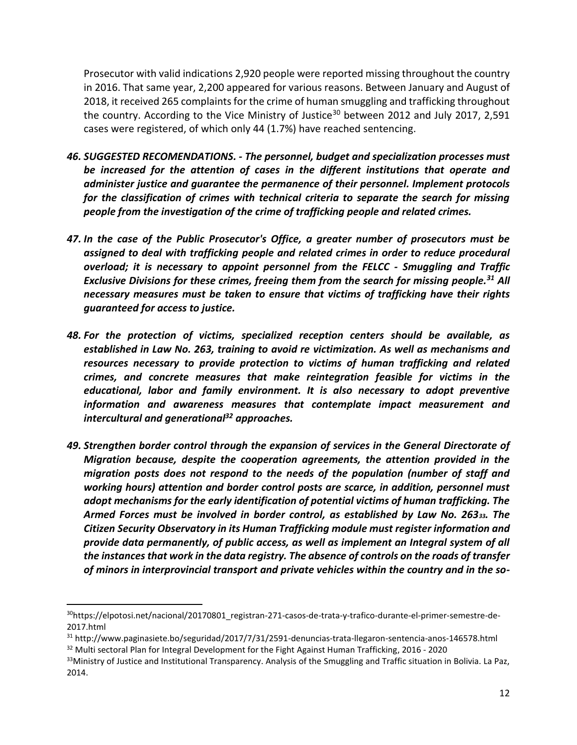Prosecutor with valid indications 2,920 people were reported missing throughout the country in 2016. That same year, 2,200 appeared for various reasons. Between January and August of 2018, it received 265 complaints for the crime of human smuggling and trafficking throughout the country. According to the Vice Ministry of Justice<sup>30</sup> between 2012 and July 2017, 2,591 cases were registered, of which only 44 (1.7%) have reached sentencing.

- *46. SUGGESTED RECOMENDATIONS. - The personnel, budget and specialization processes must be increased for the attention of cases in the different institutions that operate and administer justice and guarantee the permanence of their personnel. Implement protocols for the classification of crimes with technical criteria to separate the search for missing people from the investigation of the crime of trafficking people and related crimes.*
- *47. In the case of the Public Prosecutor's Office, a greater number of prosecutors must be assigned to deal with trafficking people and related crimes in order to reduce procedural overload; it is necessary to appoint personnel from the FELCC - Smuggling and Traffic Exclusive Divisions for these crimes, freeing them from the search for missing people.<sup>31</sup> All necessary measures must be taken to ensure that victims of trafficking have their rights guaranteed for access to justice.*
- *48. For the protection of victims, specialized reception centers should be available, as established in Law No. 263, training to avoid re victimization. As well as mechanisms and resources necessary to provide protection to victims of human trafficking and related crimes, and concrete measures that make reintegration feasible for victims in the educational, labor and family environment. It is also necessary to adopt preventive information and awareness measures that contemplate impact measurement and intercultural and generational<sup>32</sup> approaches.*
- *49. Strengthen border control through the expansion of services in the General Directorate of Migration because, despite the cooperation agreements, the attention provided in the migration posts does not respond to the needs of the population (number of staff and working hours) attention and border control posts are scarce, in addition, personnel must adopt mechanisms for the early identification of potential victims of human trafficking. The Armed Forces must be involved in border control, as established by Law No. 26333. The Citizen Security Observatory in its Human Trafficking module must register information and provide data permanently, of public access, as well as implement an Integral system of all the instances that work in the data registry. The absence of controls on the roads of transfer of minors in interprovincial transport and private vehicles within the country and in the so-*

<sup>30</sup>https://elpotosi.net/nacional/20170801\_registran-271-casos-de-trata-y-trafico-durante-el-primer-semestre-de-2017.html

<sup>31</sup> http://www.paginasiete.bo/seguridad/2017/7/31/2591-denuncias-trata-llegaron-sentencia-anos-146578.html <sup>32</sup> Multi sectoral Plan for Integral Development for the Fight Against Human Trafficking, 2016 - 2020

<sup>33</sup>Ministry of Justice and Institutional Transparency. Analysis of the Smuggling and Traffic situation in Bolivia. La Paz, 2014.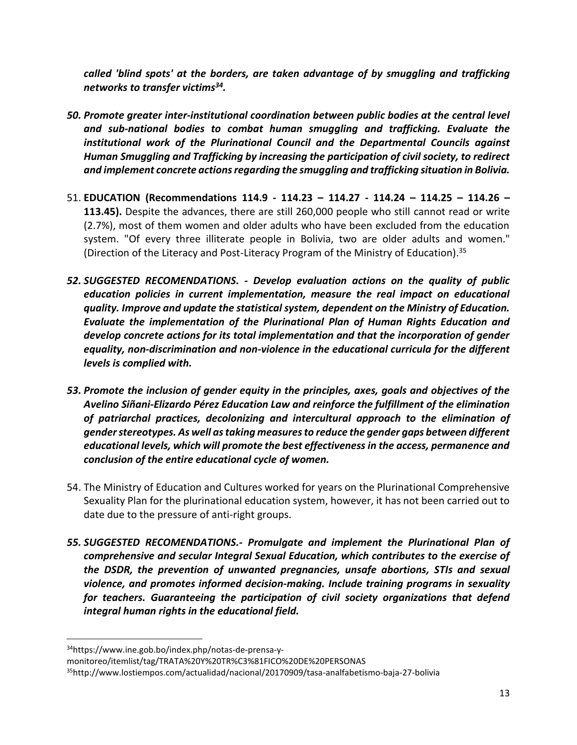*called 'blind spots' at the borders, are taken advantage of by smuggling and trafficking networks to transfer victims<sup>34</sup> .*

- *50. Promote greater inter-institutional coordination between public bodies at the central level and sub-national bodies to combat human smuggling and trafficking. Evaluate the institutional work of the Plurinational Council and the Departmental Councils against Human Smuggling and Trafficking by increasing the participation of civil society, to redirect and implement concrete actions regarding the smuggling and trafficking situation in Bolivia.*
- 51. **EDUCATION (Recommendations 114.9 - 114.23 – 114.27 - 114.24 – 114.25 – 114.26 – 113.45).** Despite the advances, there are still 260,000 people who still cannot read or write (2.7%), most of them women and older adults who have been excluded from the education system. "Of every three illiterate people in Bolivia, two are older adults and women." (Direction of the Literacy and Post-Literacy Program of the Ministry of Education). 35
- *52. SUGGESTED RECOMENDATIONS. - Develop evaluation actions on the quality of public education policies in current implementation, measure the real impact on educational quality. Improve and update the statistical system, dependent on the Ministry of Education. Evaluate the implementation of the Plurinational Plan of Human Rights Education and develop concrete actions for its total implementation and that the incorporation of gender equality, non-discrimination and non-violence in the educational curricula for the different levels is complied with.*
- *53. Promote the inclusion of gender equity in the principles, axes, goals and objectives of the Avelino Siñani-Elizardo Pérez Education Law and reinforce the fulfillment of the elimination of patriarchal practices, decolonizing and intercultural approach to the elimination of gender stereotypes. As well as taking measures to reduce the gender gaps between different educational levels, which will promote the best effectiveness in the access, permanence and conclusion of the entire educational cycle of women.*
- 54. The Ministry of Education and Cultures worked for years on the Plurinational Comprehensive Sexuality Plan for the plurinational education system, however, it has not been carried out to date due to the pressure of anti-right groups.
- *55. SUGGESTED RECOMENDATIONS.- Promulgate and implement the Plurinational Plan of comprehensive and secular Integral Sexual Education, which contributes to the exercise of the DSDR, the prevention of unwanted pregnancies, unsafe abortions, STIs and sexual violence, and promotes informed decision-making. Include training programs in sexuality for teachers. Guaranteeing the participation of civil society organizations that defend integral human rights in the educational field.*

1

<sup>34</sup>https://www.ine.gob.bo/index.php/notas-de-prensa-y-

monitoreo/itemlist/tag/TRATA%20Y%20TR%C3%81FICO%20DE%20PERSONAS

<sup>35</sup>http://www.lostiempos.com/actualidad/nacional/20170909/tasa-analfabetismo-baja-27-bolivia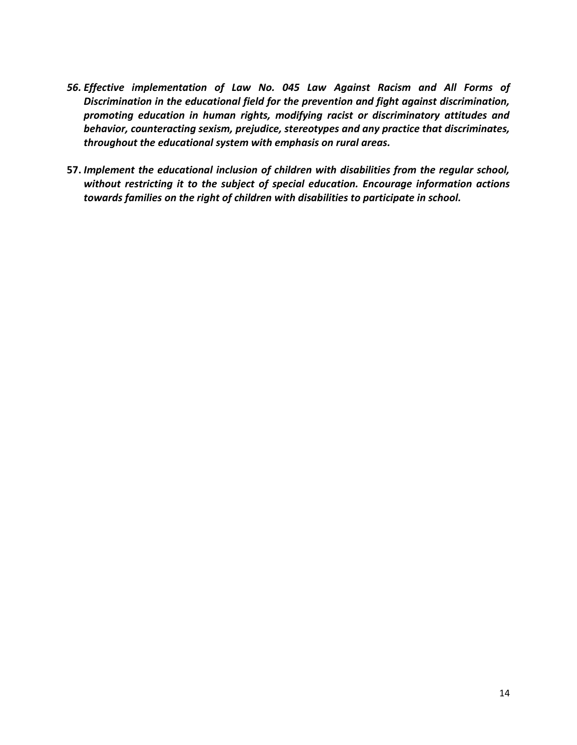- *56. Effective implementation of Law No. 045 Law Against Racism and All Forms of Discrimination in the educational field for the prevention and fight against discrimination, promoting education in human rights, modifying racist or discriminatory attitudes and behavior, counteracting sexism, prejudice, stereotypes and any practice that discriminates, throughout the educational system with emphasis on rural areas.*
- **57.** *Implement the educational inclusion of children with disabilities from the regular school, without restricting it to the subject of special education. Encourage information actions towards families on the right of children with disabilities to participate in school.*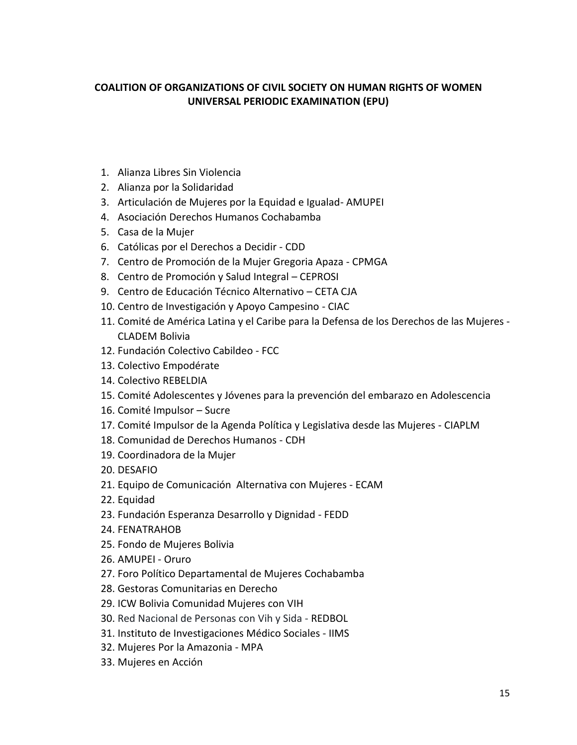## **COALITION OF ORGANIZATIONS OF CIVIL SOCIETY ON HUMAN RIGHTS OF WOMEN UNIVERSAL PERIODIC EXAMINATION (EPU)**

- 1. Alianza Libres Sin Violencia
- 2. Alianza por la Solidaridad
- 3. Articulación de Mujeres por la Equidad e Igualad- AMUPEI
- 4. Asociación Derechos Humanos Cochabamba
- 5. Casa de la Mujer
- 6. Católicas por el Derechos a Decidir CDD
- 7. Centro de Promoción de la Mujer Gregoria Apaza CPMGA
- 8. Centro de Promoción y Salud Integral CEPROSI
- 9. Centro de Educación Técnico Alternativo CETA CJA
- 10. Centro de Investigación y Apoyo Campesino CIAC
- 11. Comité de América Latina y el Caribe para la Defensa de los Derechos de las Mujeres CLADEM Bolivia
- 12. Fundación Colectivo Cabildeo FCC
- 13. Colectivo Empodérate
- 14. Colectivo REBELDIA
- 15. Comité Adolescentes y Jóvenes para la prevención del embarazo en Adolescencia
- 16. Comité Impulsor Sucre
- 17. Comité Impulsor de la Agenda Política y Legislativa desde las Mujeres CIAPLM
- 18. Comunidad de Derechos Humanos CDH
- 19. Coordinadora de la Mujer
- 20. DESAFIO
- 21. Equipo de Comunicación Alternativa con Mujeres ECAM
- 22. Equidad
- 23. Fundación Esperanza Desarrollo y Dignidad FEDD
- 24. FENATRAHOB
- 25. Fondo de Mujeres Bolivia
- 26. AMUPEI Oruro
- 27. Foro Político Departamental de Mujeres Cochabamba
- 28. Gestoras Comunitarias en Derecho
- 29. ICW Bolivia Comunidad Mujeres con VIH
- 30. Red Nacional de Personas con Vih y Sida REDBOL
- 31. Instituto de Investigaciones Médico Sociales IIMS
- 32. Mujeres Por la Amazonia MPA
- 33. Mujeres en Acción